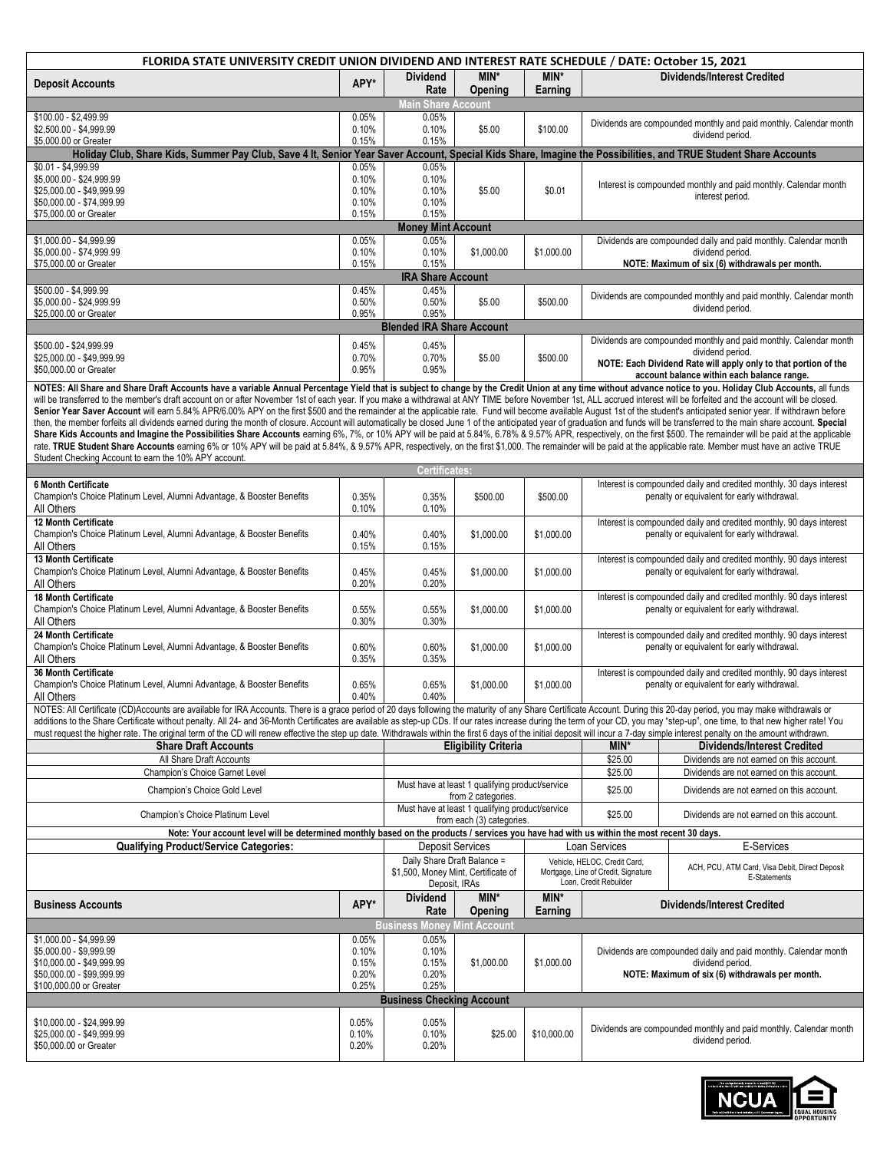| FLORIDA STATE UNIVERSITY CREDIT UNION DIVIDEND AND INTEREST RATE SCHEDULE / DATE: October 15, 2021                                                                                                                                                                                                                                                                                                                                                         |                |                                           |                                                 |                 |                                                               |                                                                                                                    |  |
|------------------------------------------------------------------------------------------------------------------------------------------------------------------------------------------------------------------------------------------------------------------------------------------------------------------------------------------------------------------------------------------------------------------------------------------------------------|----------------|-------------------------------------------|-------------------------------------------------|-----------------|---------------------------------------------------------------|--------------------------------------------------------------------------------------------------------------------|--|
| <b>Deposit Accounts</b>                                                                                                                                                                                                                                                                                                                                                                                                                                    | APY*           | <b>Dividend</b><br>Rate                   | MIN*<br>Opening                                 | MIN*<br>Earning |                                                               | <b>Dividends/Interest Credited</b>                                                                                 |  |
|                                                                                                                                                                                                                                                                                                                                                                                                                                                            |                | Main Share Account                        |                                                 |                 |                                                               |                                                                                                                    |  |
| \$100.00 - \$2,499.99<br>\$2.500.00 - \$4.999.99                                                                                                                                                                                                                                                                                                                                                                                                           | 0.05%<br>0.10% | 0.05%<br>0.10%                            | \$5.00                                          | \$100.00        |                                                               | Dividends are compounded monthly and paid monthly. Calendar month<br>dividend period.                              |  |
| \$5,000.00 or Greater<br>Holiday Club, Share Kids, Summer Pay Club, Save 4 It, Senior Year Saver Account, Special Kids Share, Imagine the Possibilities, and TRUE Student Share Accounts                                                                                                                                                                                                                                                                   | 0.15%          | 0.15%                                     |                                                 |                 |                                                               |                                                                                                                    |  |
| \$0.01 - \$4,999.99                                                                                                                                                                                                                                                                                                                                                                                                                                        | 0.05%          | 0.05%                                     |                                                 |                 |                                                               |                                                                                                                    |  |
| \$5,000.00 - \$24,999.99                                                                                                                                                                                                                                                                                                                                                                                                                                   | 0.10%          | 0.10%                                     |                                                 |                 |                                                               | Interest is compounded monthly and paid monthly. Calendar month                                                    |  |
| \$25,000.00 - \$49,999.99<br>\$50,000.00 - \$74,999.99                                                                                                                                                                                                                                                                                                                                                                                                     | 0.10%<br>0.10% | 0.10%<br>0.10%                            | \$5.00                                          | \$0.01          |                                                               | interest period.                                                                                                   |  |
| \$75,000.00 or Greater                                                                                                                                                                                                                                                                                                                                                                                                                                     | 0.15%          | 0.15%                                     |                                                 |                 |                                                               |                                                                                                                    |  |
|                                                                                                                                                                                                                                                                                                                                                                                                                                                            |                | <b>Money Mint Account</b>                 |                                                 |                 |                                                               |                                                                                                                    |  |
| \$1,000.00 - \$4,999.99                                                                                                                                                                                                                                                                                                                                                                                                                                    | 0.05%          | 0.05%                                     |                                                 |                 |                                                               | Dividends are compounded daily and paid monthly. Calendar month                                                    |  |
| \$5,000.00 - \$74,999.99<br>\$75,000.00 or Greater                                                                                                                                                                                                                                                                                                                                                                                                         | 0.10%<br>0.15% | 0.10%<br>0.15%                            | \$1,000.00                                      | \$1,000.00      |                                                               | dividend period.<br>NOTE: Maximum of six (6) withdrawals per month.                                                |  |
| <b>IRA Share Account</b>                                                                                                                                                                                                                                                                                                                                                                                                                                   |                |                                           |                                                 |                 |                                                               |                                                                                                                    |  |
| \$500.00 - \$4,999.99                                                                                                                                                                                                                                                                                                                                                                                                                                      | 0.45%          | 0.45%                                     |                                                 |                 |                                                               | Dividends are compounded monthly and paid monthly. Calendar month                                                  |  |
| \$5,000.00 - \$24,999.99<br>\$25,000.00 or Greater                                                                                                                                                                                                                                                                                                                                                                                                         | 0.50%<br>0.95% | 0.50%<br>0.95%                            | \$5.00                                          | \$500.00        |                                                               | dividend period.                                                                                                   |  |
|                                                                                                                                                                                                                                                                                                                                                                                                                                                            |                | <b>Blended IRA Share Account</b>          |                                                 |                 |                                                               |                                                                                                                    |  |
| \$500.00 - \$24,999.99                                                                                                                                                                                                                                                                                                                                                                                                                                     | 0.45%          | 0.45%                                     |                                                 |                 |                                                               | Dividends are compounded monthly and paid monthly. Calendar month                                                  |  |
| \$25,000.00 - \$49,999.99                                                                                                                                                                                                                                                                                                                                                                                                                                  | 0.70%          | 0.70%                                     | \$5.00                                          | \$500.00        |                                                               | dividend period.                                                                                                   |  |
| \$50,000.00 or Greater                                                                                                                                                                                                                                                                                                                                                                                                                                     | 0.95%          | 0.95%                                     |                                                 |                 |                                                               | NOTE: Each Dividend Rate will apply only to that portion of the<br>account balance within each balance range.      |  |
| NOTES: All Share and Share Draft Accounts have a variable Annual Percentage Yield that is subject to change by the Credit Union at any time without advance notice to you. Holiday Club Accounts, all funds                                                                                                                                                                                                                                                |                |                                           |                                                 |                 |                                                               |                                                                                                                    |  |
| will be transferred to the member's draft account on or after November 1st of each year. If you make a withdrawal at ANY TIME before November 1st, ALL accrued interest will be forfeited and the account will be closed.                                                                                                                                                                                                                                  |                |                                           |                                                 |                 |                                                               |                                                                                                                    |  |
| Senior Year Saver Account will earn 5.84% APR/6.00% APY on the first \$500 and the remainder at the applicable rate. Fund will become available August 1st of the student's anticipated senior year. If withdrawn before<br>then, the member forfeits all dividends earned during the month of closure. Account will automatically be closed June 1 of the anticipated year of graduation and funds will be transferred to the main share account. Special |                |                                           |                                                 |                 |                                                               |                                                                                                                    |  |
| Share Kids Accounts and Imagine the Possibilities Share Accounts eaming 6%, 7%, or 10% APY will be paid at 5.84%, 6.78% & 9.57% APR, respectively, on the first \$500. The remainder will be paid at the applicable                                                                                                                                                                                                                                        |                |                                           |                                                 |                 |                                                               |                                                                                                                    |  |
| rate. TRUE Student Share Accounts earning 6% or 10% APY will be paid at 5.84%, & 9.57% APR, respectively, on the first \$1,000. The remainder will be paid at the applicable rate. Member must have an active TRUE                                                                                                                                                                                                                                         |                |                                           |                                                 |                 |                                                               |                                                                                                                    |  |
| Student Checking Account to earn the 10% APY account.                                                                                                                                                                                                                                                                                                                                                                                                      |                | Certificates:                             |                                                 |                 |                                                               |                                                                                                                    |  |
| 6 Month Certificate                                                                                                                                                                                                                                                                                                                                                                                                                                        |                |                                           |                                                 |                 |                                                               | Interest is compounded daily and credited monthly. 30 days interest                                                |  |
| Champion's Choice Platinum Level, Alumni Advantage, & Booster Benefits                                                                                                                                                                                                                                                                                                                                                                                     | 0.35%          | 0.35%                                     | \$500.00                                        | \$500.00        |                                                               | penalty or equivalent for early withdrawal.                                                                        |  |
| All Others                                                                                                                                                                                                                                                                                                                                                                                                                                                 | 0.10%          | 0.10%                                     |                                                 |                 |                                                               |                                                                                                                    |  |
| <b>12 Month Certificate</b>                                                                                                                                                                                                                                                                                                                                                                                                                                |                |                                           |                                                 |                 |                                                               | Interest is compounded daily and credited monthly. 90 days interest                                                |  |
| Champion's Choice Platinum Level, Alumni Advantage, & Booster Benefits<br>All Others                                                                                                                                                                                                                                                                                                                                                                       | 0.40%<br>0.15% | 0.40%<br>0.15%                            | \$1,000.00                                      | \$1,000.00      |                                                               | penalty or equivalent for early withdrawal.                                                                        |  |
| 13 Month Certificate                                                                                                                                                                                                                                                                                                                                                                                                                                       |                |                                           |                                                 |                 |                                                               | Interest is compounded daily and credited monthly. 90 days interest                                                |  |
| Champion's Choice Platinum Level, Alumni Advantage, & Booster Benefits                                                                                                                                                                                                                                                                                                                                                                                     | 0.45%          | 0.45%                                     | \$1,000.00                                      | \$1,000.00      |                                                               | penalty or equivalent for early withdrawal.                                                                        |  |
| All Others                                                                                                                                                                                                                                                                                                                                                                                                                                                 | 0.20%          | 0.20%                                     |                                                 |                 |                                                               |                                                                                                                    |  |
| 18 Month Certificate<br>Champion's Choice Platinum Level, Alumni Advantage, & Booster Benefits                                                                                                                                                                                                                                                                                                                                                             | 0.55%          | 0.55%                                     | \$1,000.00                                      | \$1,000.00      |                                                               | Interest is compounded daily and credited monthly. 90 days interest<br>penalty or equivalent for early withdrawal. |  |
| All Others                                                                                                                                                                                                                                                                                                                                                                                                                                                 | 0.30%          | 0.30%                                     |                                                 |                 |                                                               |                                                                                                                    |  |
| 24 Month Certificate                                                                                                                                                                                                                                                                                                                                                                                                                                       |                |                                           |                                                 |                 |                                                               | Interest is compounded daily and credited monthly. 90 days interest                                                |  |
| Champion's Choice Platinum Level, Alumni Advantage, & Booster Benefits                                                                                                                                                                                                                                                                                                                                                                                     | 0.60%          | 0.60%                                     | \$1,000.00                                      | \$1,000.00      |                                                               | penalty or equivalent for early withdrawal.                                                                        |  |
| All Others<br>36 Month Certificate                                                                                                                                                                                                                                                                                                                                                                                                                         | 0.35%          | 0.35%                                     |                                                 |                 |                                                               | Interest is compounded daily and credited monthly. 90 days interest                                                |  |
| Champion's Choice Platinum Level, Alumni Advantage, & Booster Benefits                                                                                                                                                                                                                                                                                                                                                                                     | 0.65%          | 0.65%                                     | \$1,000.00                                      | \$1,000.00      |                                                               | penalty or equivalent for early withdrawal.                                                                        |  |
| All Others                                                                                                                                                                                                                                                                                                                                                                                                                                                 | 0.40%          | 0.40%                                     |                                                 |                 |                                                               |                                                                                                                    |  |
| NOTES: All Certificate (CD)Accounts are available for IRA Accounts. There is a grace period of 20 days following the maturity of any Share Certificate Account. During this 20-day period, you may make withdrawals or<br>additions to the Share Certificate without penalty. All 24- and 36-Month Certificates are available as step-up CDs. If our rates increase during the term of your CD, you may "step-up", one time, to that new higher rate! Yo   |                |                                           |                                                 |                 |                                                               |                                                                                                                    |  |
| must request the higher rate. The original term of the CD will renew effective the step up date. Withdrawals within the first 6 days of the initial deposit will incur a 7-day simple interest penalty on the amount withdrawn                                                                                                                                                                                                                             |                |                                           |                                                 |                 |                                                               |                                                                                                                    |  |
| <b>Share Draft Accounts</b>                                                                                                                                                                                                                                                                                                                                                                                                                                |                | <b>Eligibility Criteria</b>               |                                                 |                 | MIN*                                                          | <b>Dividends/Interest Credited</b>                                                                                 |  |
| All Share Draft Accounts                                                                                                                                                                                                                                                                                                                                                                                                                                   |                |                                           |                                                 | \$25.00         | Dividends are not earned on this account.                     |                                                                                                                    |  |
| Champion's Choice Garnet Level                                                                                                                                                                                                                                                                                                                                                                                                                             |                |                                           | Must have at least 1 qualifying product/service |                 | \$25.00                                                       | Dividends are not earned on this account.                                                                          |  |
| Champion's Choice Gold Level                                                                                                                                                                                                                                                                                                                                                                                                                               |                |                                           | from 2 categories.                              |                 | \$25.00                                                       | Dividends are not earned on this account.                                                                          |  |
| Champion's Choice Platinum Level                                                                                                                                                                                                                                                                                                                                                                                                                           |                |                                           | Must have at least 1 qualifying product/service |                 | \$25.00                                                       | Dividends are not earned on this account.                                                                          |  |
| Note: Your account level will be determined monthly based on the products / services you have had with us within the most recent 30 days.                                                                                                                                                                                                                                                                                                                  |                |                                           | from each (3) categories.                       |                 |                                                               |                                                                                                                    |  |
| <b>Qualifying Product/Service Categories:</b>                                                                                                                                                                                                                                                                                                                                                                                                              |                |                                           | <b>Deposit Services</b>                         |                 | Loan Services                                                 | E-Services                                                                                                         |  |
|                                                                                                                                                                                                                                                                                                                                                                                                                                                            |                | Daily Share Draft Balance =               |                                                 |                 | Vehicle, HELOC, Credit Card,                                  |                                                                                                                    |  |
|                                                                                                                                                                                                                                                                                                                                                                                                                                                            |                |                                           | \$1,500, Money Mint, Certificate of             |                 | Mortgage, Line of Credit, Signature<br>Loan, Credit Rebuilder | ACH, PCU, ATM Card, Visa Debit, Direct Deposit<br>E-Statements                                                     |  |
|                                                                                                                                                                                                                                                                                                                                                                                                                                                            |                | Deposit, IRAs<br><b>Dividend</b>          | MIN*                                            | MIN*            |                                                               |                                                                                                                    |  |
| <b>Business Accounts</b>                                                                                                                                                                                                                                                                                                                                                                                                                                   | APY*           | Rate                                      | Opening                                         | Earning         |                                                               | <b>Dividends/Interest Credited</b>                                                                                 |  |
|                                                                                                                                                                                                                                                                                                                                                                                                                                                            |                | <b>Business Money</b>                     | lint Account                                    |                 |                                                               |                                                                                                                    |  |
| \$1,000.00 - \$4,999.99<br>\$5,000.00 - \$9,999.99                                                                                                                                                                                                                                                                                                                                                                                                         | 0.05%<br>0.10% | 0.05%<br>0.10%                            |                                                 |                 |                                                               | Dividends are compounded daily and paid monthly. Calendar month                                                    |  |
| \$10,000.00 - \$49,999.99                                                                                                                                                                                                                                                                                                                                                                                                                                  | 0.15%          | 0.15%                                     | \$1,000.00                                      | \$1,000.00      |                                                               | dividend period.                                                                                                   |  |
| \$50,000.00 - \$99,999.99                                                                                                                                                                                                                                                                                                                                                                                                                                  | 0.20%          | 0.20%                                     |                                                 |                 |                                                               | NOTE: Maximum of six (6) withdrawals per month.                                                                    |  |
| \$100,000.00 or Greater                                                                                                                                                                                                                                                                                                                                                                                                                                    | 0.25%          | 0.25%<br><b>Business Checking Account</b> |                                                 |                 |                                                               |                                                                                                                    |  |
|                                                                                                                                                                                                                                                                                                                                                                                                                                                            |                |                                           |                                                 |                 |                                                               |                                                                                                                    |  |
| \$10,000.00 - \$24,999.99                                                                                                                                                                                                                                                                                                                                                                                                                                  | 0.05%          | 0.05%                                     |                                                 |                 |                                                               | Dividends are compounded monthly and paid monthly. Calendar month                                                  |  |
| \$25,000.00 - \$49,999.99<br>\$50,000.00 or Greater                                                                                                                                                                                                                                                                                                                                                                                                        | 0.10%<br>0.20% | 0.10%<br>0.20%                            | \$25.00                                         | \$10,000.00     |                                                               | dividend period.                                                                                                   |  |
|                                                                                                                                                                                                                                                                                                                                                                                                                                                            |                |                                           |                                                 |                 |                                                               |                                                                                                                    |  |